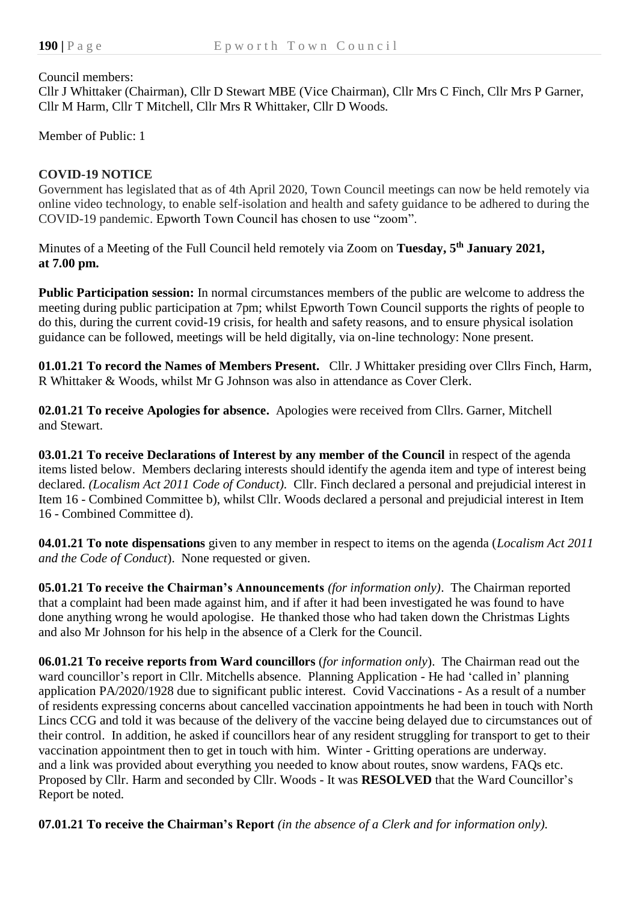#### Council members:

Cllr J Whittaker (Chairman), Cllr D Stewart MBE (Vice Chairman), Cllr Mrs C Finch, Cllr Mrs P Garner, Cllr M Harm, Cllr T Mitchell, Cllr Mrs R Whittaker, Cllr D Woods.

Member of Public: 1

#### **COVID-19 NOTICE**

Government has legislated that as of 4th April 2020, Town Council meetings can now be held remotely via online video technology, to enable self-isolation and health and safety guidance to be adhered to during the COVID-19 pandemic. Epworth Town Council has chosen to use "zoom".

Minutes of a Meeting of the Full Council held remotely via Zoom on **Tuesday, 5 th January 2021, at 7.00 pm.**

**Public Participation session:** In normal circumstances members of the public are welcome to address the meeting during public participation at 7pm; whilst Epworth Town Council supports the rights of people to do this, during the current covid-19 crisis, for health and safety reasons, and to ensure physical isolation guidance can be followed, meetings will be held digitally, via on-line technology: None present.

**01.01.21 To record the Names of Members Present.** Cllr. J Whittaker presiding over Cllrs Finch, Harm, R Whittaker & Woods, whilst Mr G Johnson was also in attendance as Cover Clerk.

**02.01.21 To receive Apologies for absence.** Apologies were received from Cllrs. Garner, Mitchell and Stewart.

**03.01.21 To receive Declarations of Interest by any member of the Council** in respect of the agenda items listed below. Members declaring interests should identify the agenda item and type of interest being declared. *(Localism Act 2011 Code of Conduct).* Cllr. Finch declared a personal and prejudicial interest in Item 16 - Combined Committee b), whilst Cllr. Woods declared a personal and prejudicial interest in Item 16 - Combined Committee d).

**04.01.21 To note dispensations** given to any member in respect to items on the agenda (*Localism Act 2011 and the Code of Conduct*). None requested or given.

**05.01.21 To receive the Chairman's Announcements** *(for information only)*.The Chairman reported that a complaint had been made against him, and if after it had been investigated he was found to have done anything wrong he would apologise. He thanked those who had taken down the Christmas Lights and also Mr Johnson for his help in the absence of a Clerk for the Council.

**06.01.21 To receive reports from Ward councillors** (*for information only*). The Chairman read out the ward councillor's report in Cllr. Mitchells absence. Planning Application - He had 'called in' planning application PA/2020/1928 due to significant public interest. Covid Vaccinations - As a result of a number of residents expressing concerns about cancelled vaccination appointments he had been in touch with North Lincs CCG and told it was because of the delivery of the vaccine being delayed due to circumstances out of their control. In addition, he asked if councillors hear of any resident struggling for transport to get to their vaccination appointment then to get in touch with him. Winter - Gritting operations are underway. and a link was provided about everything you needed to know about routes, snow wardens, FAQs etc. Proposed by Cllr. Harm and seconded by Cllr. Woods - It was **RESOLVED** that the Ward Councillor's Report be noted.

**07.01.21 To receive the Chairman's Report** *(in the absence of a Clerk and for information only).*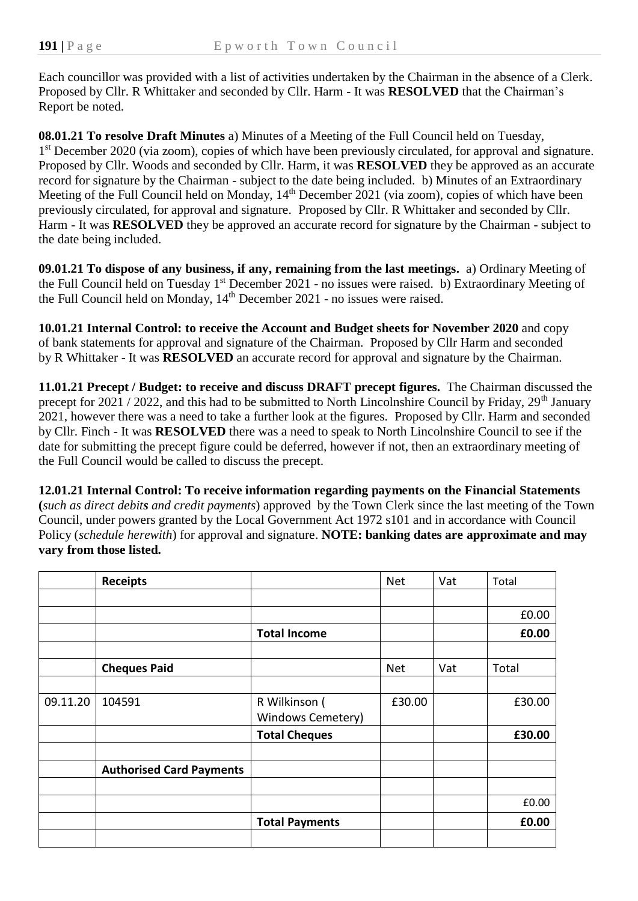Each councillor was provided with a list of activities undertaken by the Chairman in the absence of a Clerk. Proposed by Cllr. R Whittaker and seconded by Cllr. Harm - It was **RESOLVED** that the Chairman's Report be noted.

**08.01.21 To resolve Draft Minutes** a) Minutes of a Meeting of the Full Council held on Tuesday, 1<sup>st</sup> December 2020 (via zoom), copies of which have been previously circulated, for approval and signature. Proposed by Cllr. Woods and seconded by Cllr. Harm, it was **RESOLVED** they be approved as an accurate record for signature by the Chairman - subject to the date being included. b) Minutes of an Extraordinary Meeting of the Full Council held on Monday, 14<sup>th</sup> December 2021 (via zoom), copies of which have been previously circulated, for approval and signature. Proposed by Cllr. R Whittaker and seconded by Cllr. Harm - It was **RESOLVED** they be approved an accurate record for signature by the Chairman - subject to the date being included.

**09.01.21 To dispose of any business, if any, remaining from the last meetings.** a) Ordinary Meeting of the Full Council held on Tuesday 1<sup>st</sup> December 2021 - no issues were raised. b) Extraordinary Meeting of the Full Council held on Monday, 14th December 2021 - no issues were raised.

**10.01.21 Internal Control: to receive the Account and Budget sheets for November 2020** and copy of bank statements for approval and signature of the Chairman. Proposed by Cllr Harm and seconded by R Whittaker - It was **RESOLVED** an accurate record for approval and signature by the Chairman.

**11.01.21 Precept / Budget: to receive and discuss DRAFT precept figures.** The Chairman discussed the precept for 2021 / 2022, and this had to be submitted to North Lincolnshire Council by Friday,  $29<sup>th</sup>$  January 2021, however there was a need to take a further look at the figures. Proposed by Cllr. Harm and seconded by Cllr. Finch - It was **RESOLVED** there was a need to speak to North Lincolnshire Council to see if the date for submitting the precept figure could be deferred, however if not, then an extraordinary meeting of the Full Council would be called to discuss the precept.

**12.01.21 Internal Control: To receive information regarding payments on the Financial Statements (***such as direct debits and credit payments*) approved by the Town Clerk since the last meeting of the Town Council, under powers granted by the Local Government Act 1972 s101 and in accordance with Council Policy (*schedule herewith*) for approval and signature. **NOTE: banking dates are approximate and may vary from those listed.**

|          | <b>Receipts</b>                 |                       | <b>Net</b> | Vat | Total  |
|----------|---------------------------------|-----------------------|------------|-----|--------|
|          |                                 |                       |            |     |        |
|          |                                 |                       |            |     | £0.00  |
|          |                                 | <b>Total Income</b>   |            |     | £0.00  |
|          |                                 |                       |            |     |        |
|          | <b>Cheques Paid</b>             |                       | <b>Net</b> | Vat | Total  |
|          |                                 |                       |            |     |        |
| 09.11.20 | 104591                          | R Wilkinson (         | £30.00     |     | £30.00 |
|          |                                 | Windows Cemetery)     |            |     |        |
|          |                                 | <b>Total Cheques</b>  |            |     | £30.00 |
|          |                                 |                       |            |     |        |
|          | <b>Authorised Card Payments</b> |                       |            |     |        |
|          |                                 |                       |            |     |        |
|          |                                 |                       |            |     | £0.00  |
|          |                                 | <b>Total Payments</b> |            |     | £0.00  |
|          |                                 |                       |            |     |        |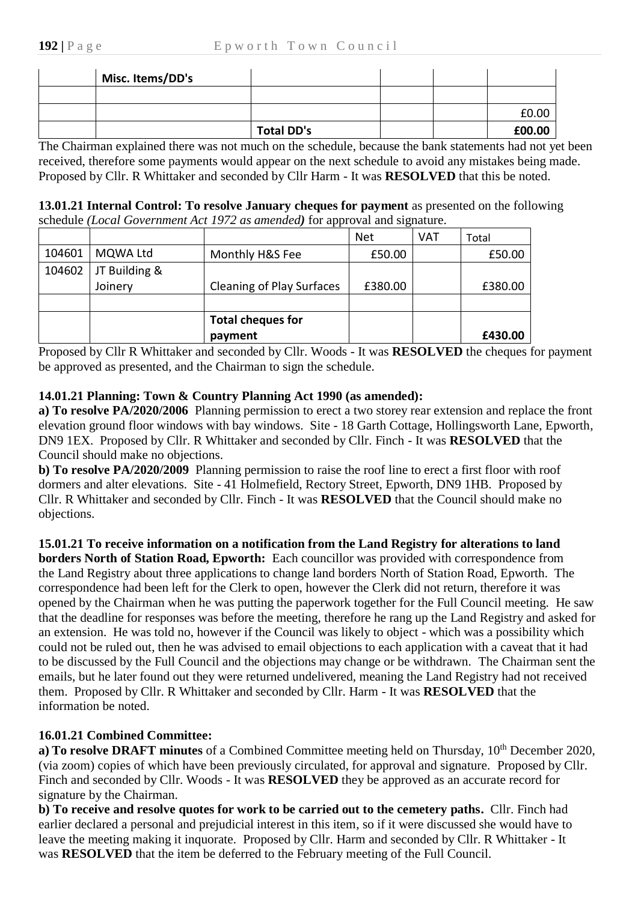| Misc. Items/DD's |                   |  |        |
|------------------|-------------------|--|--------|
|                  |                   |  |        |
|                  |                   |  | £0.00  |
|                  | <b>Total DD's</b> |  | £00.00 |

The Chairman explained there was not much on the schedule, because the bank statements had not yet been received, therefore some payments would appear on the next schedule to avoid any mistakes being made. Proposed by Cllr. R Whittaker and seconded by Cllr Harm - It was **RESOLVED** that this be noted.

| 13.01.21 Internal Control: To resolve January cheques for payment as presented on the following |
|-------------------------------------------------------------------------------------------------|
| schedule (Local Government Act 1972 as amended) for approval and signature.                     |

|        |               |                                  | <b>Net</b> | <b>VAT</b> | Total   |
|--------|---------------|----------------------------------|------------|------------|---------|
| 104601 | MQWA Ltd      | Monthly H&S Fee                  | £50.00     |            | £50.00  |
| 104602 | JT Building & |                                  |            |            |         |
|        | Joinery       | <b>Cleaning of Play Surfaces</b> | £380.00    |            | £380.00 |
|        |               |                                  |            |            |         |
|        |               | <b>Total cheques for</b>         |            |            |         |
|        |               | payment                          |            |            | £430.00 |

Proposed by Cllr R Whittaker and seconded by Cllr. Woods - It was **RESOLVED** the cheques for payment be approved as presented, and the Chairman to sign the schedule.

# **14.01.21 Planning: Town & Country Planning Act 1990 (as amended):**

**a) To resolve PA/2020/2006** Planning permission to erect a two storey rear extension and replace the front elevation ground floor windows with bay windows. Site - 18 Garth Cottage, Hollingsworth Lane, Epworth, DN9 1EX. Proposed by Cllr. R Whittaker and seconded by Cllr. Finch - It was **RESOLVED** that the Council should make no objections.

**b) To resolve PA/2020/2009** Planning permission to raise the roof line to erect a first floor with roof dormers and alter elevations. Site - 41 Holmefield, Rectory Street, Epworth, DN9 1HB. Proposed by Cllr. R Whittaker and seconded by Cllr. Finch - It was **RESOLVED** that the Council should make no objections.

**15.01.21 To receive information on a notification from the Land Registry for alterations to land borders North of Station Road, Epworth:** Each councillor was provided with correspondence from the Land Registry about three applications to change land borders North of Station Road, Epworth. The correspondence had been left for the Clerk to open, however the Clerk did not return, therefore it was opened by the Chairman when he was putting the paperwork together for the Full Council meeting. He saw that the deadline for responses was before the meeting, therefore he rang up the Land Registry and asked for an extension. He was told no, however if the Council was likely to object - which was a possibility which could not be ruled out, then he was advised to email objections to each application with a caveat that it had to be discussed by the Full Council and the objections may change or be withdrawn. The Chairman sent the emails, but he later found out they were returned undelivered, meaning the Land Registry had not received them.Proposed by Cllr. R Whittaker and seconded by Cllr. Harm - It was **RESOLVED** that the information be noted.

# **16.01.21 Combined Committee:**

**a) To resolve DRAFT minutes** of a Combined Committee meeting held on Thursday, 10<sup>th</sup> December 2020, (via zoom) copies of which have been previously circulated, for approval and signature. Proposed by Cllr. Finch and seconded by Cllr. Woods - It was **RESOLVED** they be approved as an accurate record for signature by the Chairman.

**b) To receive and resolve quotes for work to be carried out to the cemetery paths.** Cllr. Finch had earlier declared a personal and prejudicial interest in this item, so if it were discussed she would have to leave the meeting making it inquorate. Proposed by Cllr. Harm and seconded by Cllr. R Whittaker - It was **RESOLVED** that the item be deferred to the February meeting of the Full Council.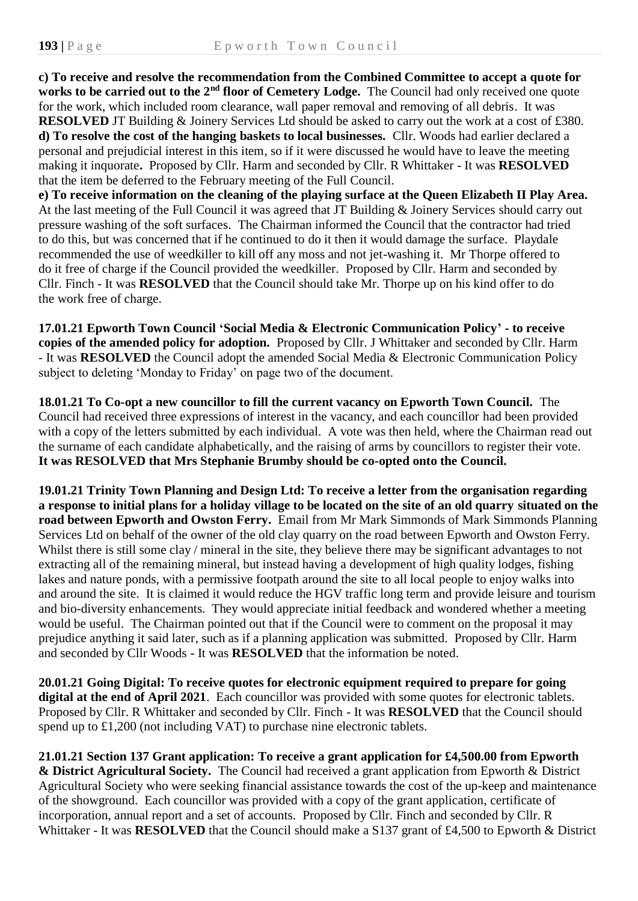**c) To receive and resolve the recommendation from the Combined Committee to accept a quote for works to be carried out to the 2nd floor of Cemetery Lodge.** The Council had only received one quote for the work, which included room clearance, wall paper removal and removing of all debris. It was **RESOLVED** JT Building & Joinery Services Ltd should be asked to carry out the work at a cost of £380. **d) To resolve the cost of the hanging baskets to local businesses.** Cllr. Woods had earlier declared a personal and prejudicial interest in this item, so if it were discussed he would have to leave the meeting making it inquorate**.** Proposed by Cllr. Harm and seconded by Cllr. R Whittaker - It was **RESOLVED** that the item be deferred to the February meeting of the Full Council.

**e) To receive information on the cleaning of the playing surface at the Queen Elizabeth II Play Area.** At the last meeting of the Full Council it was agreed that JT Building & Joinery Services should carry out pressure washing of the soft surfaces. The Chairman informed the Council that the contractor had tried to do this, but was concerned that if he continued to do it then it would damage the surface. Playdale recommended the use of weedkiller to kill off any moss and not jet-washing it. Mr Thorpe offered to do it free of charge if the Council provided the weedkiller. Proposed by Cllr. Harm and seconded by Cllr. Finch - It was **RESOLVED** that the Council should take Mr. Thorpe up on his kind offer to do the work free of charge.

**17.01.21 Epworth Town Council 'Social Media & Electronic Communication Policy' - to receive copies of the amended policy for adoption.** Proposed by Cllr. J Whittaker and seconded by Cllr. Harm - It was **RESOLVED** the Council adopt the amended Social Media & Electronic Communication Policy subject to deleting 'Monday to Friday' on page two of the document.

**18.01.21 To Co-opt a new councillor to fill the current vacancy on Epworth Town Council.** The Council had received three expressions of interest in the vacancy, and each councillor had been provided with a copy of the letters submitted by each individual. A vote was then held, where the Chairman read out the surname of each candidate alphabetically, and the raising of arms by councillors to register their vote. **It was RESOLVED that Mrs Stephanie Brumby should be co-opted onto the Council.**

**19.01.21 Trinity Town Planning and Design Ltd: To receive a letter from the organisation regarding a response to initial plans for a holiday village to be located on the site of an old quarry situated on the road between Epworth and Owston Ferry.** Email from Mr Mark Simmonds of Mark Simmonds Planning Services Ltd on behalf of the owner of the old clay quarry on the road between Epworth and Owston Ferry. Whilst there is still some clay / mineral in the site, they believe there may be significant advantages to not extracting all of the remaining mineral, but instead having a development of high quality lodges, fishing lakes and nature ponds, with a permissive footpath around the site to all local people to enjoy walks into and around the site. It is claimed it would reduce the HGV traffic long term and provide leisure and tourism and bio-diversity enhancements. They would appreciate initial feedback and wondered whether a meeting would be useful. The Chairman pointed out that if the Council were to comment on the proposal it may prejudice anything it said later, such as if a planning application was submitted. Proposed by Cllr. Harm and seconded by Cllr Woods - It was **RESOLVED** that the information be noted.

**20.01.21 Going Digital: To receive quotes for electronic equipment required to prepare for going digital at the end of April 2021**. Each councillor was provided with some quotes for electronic tablets. Proposed by Cllr. R Whittaker and seconded by Cllr. Finch - It was **RESOLVED** that the Council should spend up to £1,200 (not including VAT) to purchase nine electronic tablets.

**21.01.21 Section 137 Grant application: To receive a grant application for £4,500.00 from Epworth & District Agricultural Society.** The Council had received a grant application from Epworth & District Agricultural Society who were seeking financial assistance towards the cost of the up-keep and maintenance of the showground. Each councillor was provided with a copy of the grant application, certificate of incorporation, annual report and a set of accounts. Proposed by Cllr. Finch and seconded by Cllr. R Whittaker - It was **RESOLVED** that the Council should make a S137 grant of £4,500 to Epworth & District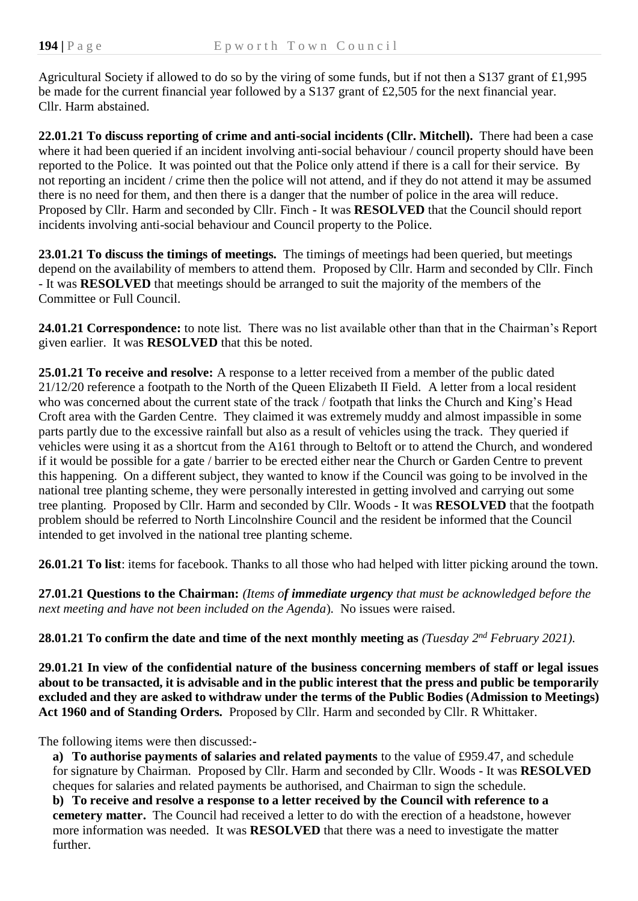Agricultural Society if allowed to do so by the viring of some funds, but if not then a S137 grant of £1,995 be made for the current financial year followed by a S137 grant of £2,505 for the next financial year. Cllr. Harm abstained.

**22.01.21 To discuss reporting of crime and anti-social incidents (Cllr. Mitchell).** There had been a case where it had been queried if an incident involving anti-social behaviour / council property should have been reported to the Police.It was pointed out that the Police only attend if there is a call for their service. By not reporting an incident / crime then the police will not attend, and if they do not attend it may be assumed there is no need for them, and then there is a danger that the number of police in the area will reduce. Proposed by Cllr. Harm and seconded by Cllr. Finch - It was **RESOLVED** that the Council should report incidents involving anti-social behaviour and Council property to the Police.

**23.01.21 To discuss the timings of meetings.** The timings of meetings had been queried, but meetings depend on the availability of members to attend them. Proposed by Cllr. Harm and seconded by Cllr. Finch - It was **RESOLVED** that meetings should be arranged to suit the majority of the members of the Committee or Full Council.

**24.01.21 Correspondence:** to note list*.* There was no list available other than that in the Chairman's Report given earlier. It was **RESOLVED** that this be noted.

**25.01.21 To receive and resolve:** A response to a letter received from a member of the public dated 21/12/20 reference a footpath to the North of the Queen Elizabeth II Field. A letter from a local resident who was concerned about the current state of the track / footpath that links the Church and King's Head Croft area with the Garden Centre. They claimed it was extremely muddy and almost impassible in some parts partly due to the excessive rainfall but also as a result of vehicles using the track. They queried if vehicles were using it as a shortcut from the A161 through to Beltoft or to attend the Church, and wondered if it would be possible for a gate / barrier to be erected either near the Church or Garden Centre to prevent this happening. On a different subject, they wanted to know if the Council was going to be involved in the national tree planting scheme, they were personally interested in getting involved and carrying out some tree planting. Proposed by Cllr. Harm and seconded by Cllr. Woods - It was **RESOLVED** that the footpath problem should be referred to North Lincolnshire Council and the resident be informed that the Council intended to get involved in the national tree planting scheme.

**26.01.21 To list**: items for facebook. Thanks to all those who had helped with litter picking around the town.

**27.01.21 Questions to the Chairman:** *(Items of immediate urgency that must be acknowledged before the next meeting and have not been included on the Agenda*)*.* No issues were raised.

**28.01.21 To confirm the date and time of the next monthly meeting as** *(Tuesday 2 nd February 2021).*

**29.01.21 In view of the confidential nature of the business concerning members of staff or legal issues about to be transacted, it is advisable and in the public interest that the press and public be temporarily excluded and they are asked to withdraw under the terms of the Public Bodies (Admission to Meetings) Act 1960 and of Standing Orders.** Proposed by Cllr. Harm and seconded by Cllr. R Whittaker.

The following items were then discussed:-

**a) To authorise payments of salaries and related payments** to the value of £959.47, and schedule for signature by Chairman. Proposed by Cllr. Harm and seconded by Cllr. Woods - It was **RESOLVED** cheques for salaries and related payments be authorised, and Chairman to sign the schedule.

**b) To receive and resolve a response to a letter received by the Council with reference to a cemetery matter.** The Council had received a letter to do with the erection of a headstone, however more information was needed. It was **RESOLVED** that there was a need to investigate the matter further.